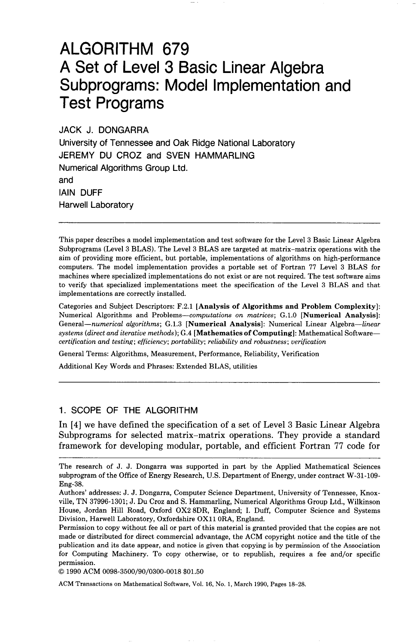# ALGORITHM 679 A Set of Level 3 Basic Linear Algebra Subprograms: Model Implementation and Test Programs

JACK J. DONGARRA

University of Tennessee and Oak Ridge National Laboratory JEREMY DU CROZ and SVEN HAMMARLING Numerical Algorithms Group Ltd. and IAIN DUFF Harwell Laboratory

This paper describes a model implementation and test software for the Level 3 Basic Linear Algebra Subprograms (Level 3 BLAS). The Level 3 BLAS are targeted at matrix-matrix operations with the aim of providing more efficient, hut portable, implementations of algorithms on high-performance computers. The model implementation provides a portable set of Fortran 77 Level 3 BLAS for machines where specialized implementations do not exist or are not required. The test software aims to verify that specialized implementations meet the specification of the Level 3 BLAS and that implementations are correctly installed.

Categories and Subject Descriptors: F.2.1 [Analysis of Algorithms and Problem Complexity]: Numerical Algorithms and Problems-computations on matrices; G.1.0 [Numerical Analysis]: General-numerical algorithms; G.1.3 [Numerical Analysis]: Numerical Linear Algebra-linear systems (direct and iterative methods);  $G.4$  [Mathematics of Computing]: Mathematical Softwarecertification and testing; efficiency; portability; reliability and robustness; verification

General Terms: Algorithms, Measurement, Performance, Reliability, Verification

Additional Key Words and Phrases: Extended BLAS, utilities

# 1. SCOPE OF THE ALGORITHM

In [4] we have defined the specification of a set of Level 3 Basic Linear Algebra Subprograms for selected matrix-matrix operations. They provide a standard framework for developing modular, portable, and efficient Fortran 77 code for

0 1990 ACM 0098-3500/90/0300-0018 \$01.50

The research of J. J. Dongarra was supported in part by the Applied Mathematical Sciences subprogram of the Office of Energy Research, U.S. Department of Energy, under contract W-31-109- Eng-38.

Authors' addresses: J. J. Dongarra, Computer Science Department, University of Tennessee, Knoxville, TN 37996-1301; J. Du Croz and S. Hammarling, Numerical Algorithms Group Ltd., Wilkinson House, Jordan Hill Road, Oxford OX2 8DR, England; I. Duff, Computer Science and Systems Division, Harwell Laboratory, Oxfordshire OX11 ORA, England.

Permission to copy without fee all or part of this material is granted provided that the copies are not made or distributed for direct commercial advantage, the ACM copyright notice and the title of the publication and its date appear, and notice is given that copying is by permission of the Association for Computing Machinery. To copy otherwise, or to republish, requires a fee and/or specific permission.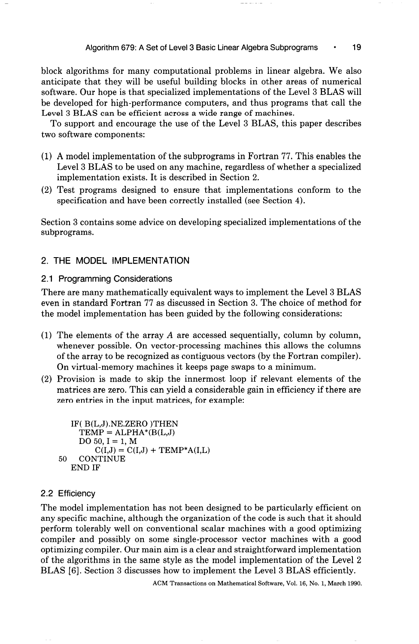block algorithms for many computational problems in linear algebra. We also anticipate that they will be useful building blocks in other areas of numerical software. Our hope is that specialized implementations of the Level 3 BLAS will be developed for high-performance computers, and thus programs that call the Level 3 BLAS can be efficient across a wide range of machines.

To support and encourage the use of the Level 3 BLAS, this paper describes two software components:

- (1) A model implementation of the subprograms in Fortran 77. This enables the Level 3 BLAS to be used on any machine, regardless of whether a specialized implementation exists. It is described in Section 2.
- (2) Test programs designed to ensure that implementations conform to the specification and have been correctly installed (see Section 4).

Section 3 contains some advice on developing specialized implementations of the subprograms.

# 2. THE MODEL IMPLEMENTATION

# 2.1 Programming Considerations

There are many mathematically equivalent ways to implement the Level 3 BLAS even in standard Fortran 77 as discussed in Section 3. The choice of method for the model implementation has been guided by the following considerations:

- (1) The elements of the array A are accessed sequentially, column by column, whenever possible. On vector-processing machines this allows the columns of the array to be recognized as contiguous vectors (by the Fortran compiler). On virtual-memory machines it keeps page swaps to a minimum.
- (2) Provision is made to skip the innermost loop if relevant elements of the matrices are zero. This can yield a considerable gain in efficiency if there are zero entries in the input matrices, for example:

```
IF( B(L,J).NE.ZERO )THEN 
  TEMP = ALPHA*(B(L, J))DO 50, I = 1, M
      C(I,J) = C(I,J) + \text{TEMP}^*A(I,L)50 CONTINUE 
END IF
```
# 2.2 Efficiency

The model implementation has not been designed to be particularly efficient on any specific machine, although the organization of the code is such that it should perform tolerably well on conventional scalar machines with a good optimizing compiler and possibly on some single-processor vector machines with a good optimizing compiler. Our main aim is a clear and straightforward implementation of the algorithms in the same style as the model implementation of the Level 2 BLAS [6]. Section 3 discusses how to implement the Level 3 BLAS efficiently.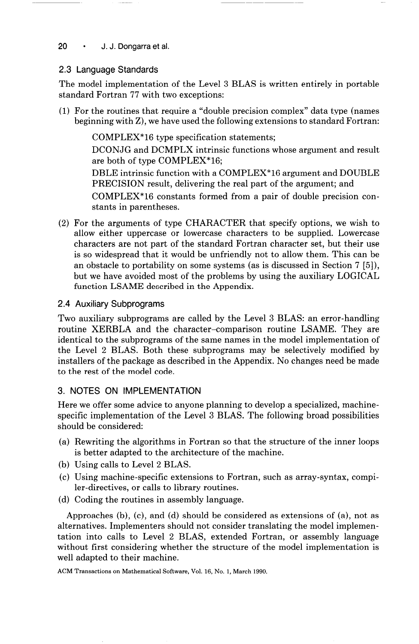# 20 · J. J. Dongarra et al.

# 2.3 Language Standards

The model implementation of the Level 3 BLAS is written entirely in portable standard Fortran 77 with two exceptions:

(1) For the routines that require a "double precision complex" data type (names beginning with Z), we have used the following extensions to standard Fortran:

COMPLEX\*16 type specification statements; DCONJG and DCMPLX intrinsic functions whose argument and result

are both of type COMPLEX\*16;

DBLE intrinsic function with a COMPLEX"16 argument and DOUBLE PRECISION result, delivering the real part of the argument; and

COMPLEX\*16 constants formed from a pair of double precision constants in parentheses.

(2) For the arguments of type CHARACTER that specify options, we wish to allow either uppercase or lowercase characters to be supplied. Lowercase characters are not part of the standard Fortran character set, but their use is so widespread that it would be unfriendly not to allow them. This can be an obstacle to portability on some systems (as is discussed in Section 7 [5]), but we have avoided most of the problems by using the auxiliary LOGICAL function LSAME described in the Appendix.

# 2.4 Auxiliary Subprograms

Two auxiliary subprograms are called by the Level 3 BLAS: an error-handling routine XERBLA and the character-comparison routine LSAME. They are identical to the subprograms of the same names in the model implementation of the Level 2 BLAS. Both these subprograms may be selectively modified by installers of the package as described in the Appendix. No changes need be made to the rest of the model code.

# 3. NOTES ON IMPLEMENTATION

Here we offer some advice to anyone planning to develop a specialized, machinespecific implementation of the Level 3 BLAS. The following broad possibilities should be considered:

- (a) Rewriting the algorithms in Fortran so that the structure of the inner loops is better adapted to the architecture of the machine.
- (b) Using calls to Level 2 BLAS.
- (c) Using machine-specific extensions to Fortran, such as array-syntax, compiler-directives, or calls to library routines.
- (d) Coding the routines in assembly language.

Approaches (b), (c), and (d) should be considered as extensions of (a), not as alternatives. Implementers should not consider translating the model implementation into calls to Level 2 BLAS, extended Fortran, or assembly language without first considering whether the structure of the model implementation is well adapted to their machine.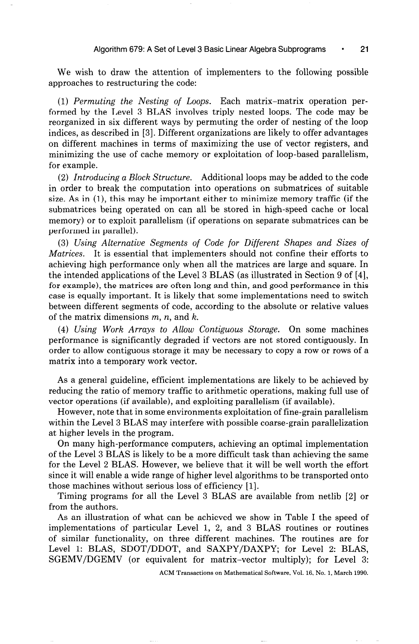We wish to draw the attention of implementers to the following possible approaches to restructuring the code:

(1) Permuting the Nesting of Loops. Each matrix-matrix operation performed by the Level 3 BLAS involves triply nested loops. The code may be reorganized in six different ways by permuting the order of nesting of the loop indices, as described in [3]. Different organizations are likely to offer advantages on different machines in terms of maximizing the use of vector registers, and minimizing the use of cache memory or exploitation of loop-based parallelism, for example.

(2) Introducing a Block Structure. Additional loops may be added to the code in order to break the computation into operations on submatrices of suitable size. As in  $(1)$ , this may be important either to minimize memory traffic (if the submatrices being operated on can all be stored in high-speed cache or local memory) or to exploit parallelism (if operations on separate submatrices can be performed in parallel).

(3) Using Alternative Segments of Code for Different Shapes and Sizes of Matrices. It is essential that implementers should not confine their efforts to achieving high performance only when all the matrices are large and square. In the intended applications of the Level 3 BLAS (as illustrated in Section 9 of [4], for example), the matrices are often long and thin, and good performance in this case is equally important. It is likely that some implementations need to switch between different segments of code, according to the absolute or relative values of the matrix dimensions  $m$ ,  $n$ , and  $k$ .

(4) Using Work Arrays to Allow Contiguous Storage. On some machines performance is significantly degraded if vectors are not stored contiguously. In order to allow contiguous storage it may be necessary to copy a row or rows of a matrix into a temporary work vector.

As a general guideline, efficient implementations are likely to be achieved by reducing the ratio of memory traffic to arithmetic operations, making full use of vector operations (if available), and exploiting parallelism (if available).

However, note that in some environments exploitation of fine-grain parallelism within the Level 3 BLAS may interfere with possible coarse-grain parallelization at higher levels in the program.

On many high-performance computers, achieving an optimal implementation of the Level 3 BLAS is likely to be a more difficult task than achieving the same for the Level 2 BLAS. However, we believe that it will be well worth the effort since it will enable a wide range of higher level algorithms to be transported onto those machines without serious loss of efficiency [l].

Timing programs for all the Level 3 BLAS are available from netlib [2] or from the authors.

As an illustration of what can be achieved we show in Table I the speed of implementations of particular Level 1, 2, and 3 BLAS routines or routines of similar functionality, on three different machines. The routines are for Level 1: BLAS, SDOT/DDOT, and SAXPY/DAXPY; for Level 2: BLAS, SGEMV/DGEMV (or equivalent for matrix-vector multiply); for Level 3: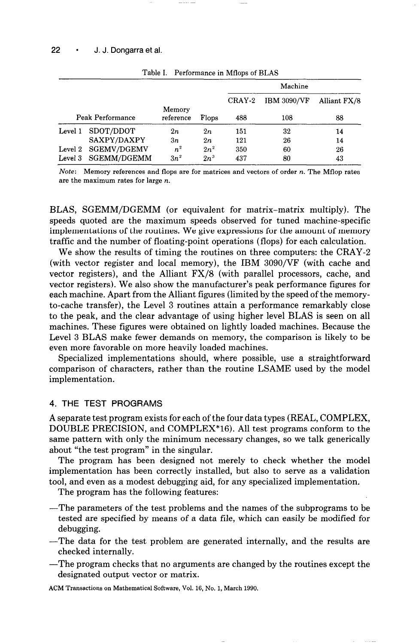|                  |                     |           |        | Machine |                    |              |
|------------------|---------------------|-----------|--------|---------|--------------------|--------------|
|                  |                     | Memory    |        | CRAY-2  | <b>IBM 3090/VF</b> | Alliant FX/8 |
| Peak Performance |                     | reference | Flops  | 488     | 108                | 88           |
| Level 1          | SDOT/DDOT           | 2n        | 2n     | 151     | 32                 | 14           |
|                  | SAXPY/DAXPY         | 3n        | 2n     | 121     | 26                 | 14           |
|                  | Level 2 SGEMV/DGEMV | $n^2$     | $2n^2$ | 350     | 60                 | 26           |
| Level 3          | SGEMM/DGEMM         | $3n^2$    | $2n^3$ | 437     | 80                 | 43           |

Table I. Performance in Mflops of BLAS

Note: Memory references and flops are for matrices and vectors of order  $n$ . The Mflop rates are the maximum rates for large n.

BLAS, SGEMM/DGEMM (or equivalent for matrix-matrix multiply). The speeds quoted are the maximum speeds observed for tuned machine-specific implementations of the routines. We give expressions for the amount of memory traffic and the number of floating-point operations (flops) for each calculation.

We show the results of timing the routines on three computers: the CRAY-2 (with vector register and local memory), the IBM 3090/VF (with cache and vector registers), and the Alliant  $FX/8$  (with parallel processors, cache, and vector registers). We also show the manufacturer's peak performance figures for each machine. Apart from the Alliant figures (limited by the speed of the memoryto-cache transfer), the Level 3 routines attain a performance remarkably close to the peak, and the clear advantage of using higher level BLAS is seen on all machines. These figures were obtained on lightly loaded machines. Because the Level 3 BLAS make fewer demands on memory, the comparison is likely to be even more favorable on more heavily loaded machines.

Specialized implementations should, where possible, use a straightforward comparison of characters, rather than the routine LSAME used by the model implementation.

### 4. THE TEST PROGRAMS

A separate test program exists for each of the four data types (REAL, COMPLEX, DOUBLE PRECISION, and COMPLEX\*16). All test programs conform to the same pattern with only the minimum necessary changes, so we talk generically about "the test program" in the singular.

The program has been designed not merely to check whether the model implementation has been correctly installed, but also to serve as a validation tool, and even as a modest debugging aid, for any specialized implementation.

The program has the following features:

- -The parameters of the test problems and the names of the subprograms to be tested are specified by means of a data file, which can easily be modified for debugging.
- -The data for the test problem are generated internally, and the results are checked internally.
- -The program checks that no arguments are changed by the routines except the designated output vector or matrix.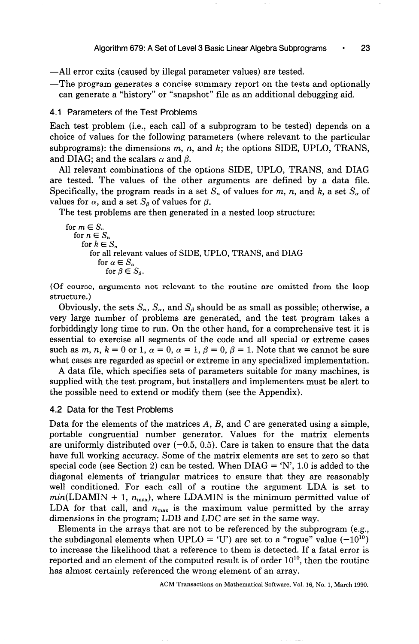-All error exits (caused by illegal parameter values) are tested.

-The program generates a concise summary report on the tests and optionally can generate a "history" or "snapshot" file as an additional debugging aid.

## 4.1 Parameters of the Test Problems

Each test problem (i.e., each call of a subprogram to be tested) depends on a choice of values for the following parameters (where relevant to the particular subprograms): the dimensions  $m$ ,  $n$ , and  $k$ ; the options SIDE, UPLO, TRANS, and DIAG; and the scalars  $\alpha$  and  $\beta$ .

All relevant combinations of the options SIDE, UPLO, TRANS, and DIAG are tested. The values of the other arguments are defined by a data file. Specifically, the program reads in a set  $S_n$  of values for m, n, and k, a set  $S_\alpha$  of values for  $\alpha$ , and a set  $S_{\beta}$  of values for  $\beta$ .

The test problems are then generated in a nested loop structure:

```
for m \in S_nfor n \in S_nfor k \in S_nfor all relevant values of SIDE, UPLO, TRANS, and DIAG 
        for \alpha \in S_{\alpha}for \beta \in S_{\alpha}.
```
(Of course, arguments not relevant to the routine are omitted from the loop structure.)

Obviously, the sets  $S_n$ ,  $S_\alpha$ , and  $S_\beta$  should be as small as possible; otherwise, a very large number of problems are generated, and the test program takes a forbiddingly long time to run. On the other hand, for a comprehensive test it is essential to exercise all segments of the code and all special or extreme cases such as m, n,  $k = 0$  or 1,  $\alpha = 0$ ,  $\alpha = 1$ ,  $\beta = 0$ ,  $\beta = 1$ . Note that we cannot be sure what cases are regarded as special or extreme in any specialized implementation.

A data file, which specifies sets of parameters suitable for many machines, is supplied with the test program, but installers and implementers must be alert to the possible need to extend or modify them (see the Appendix).

#### 4.2 Data for the Test Problems

Data for the elements of the matrices  $A, B$ , and  $C$  are generated using a simple, portable congruential number generator. Values for the matrix elements are uniformly distributed over  $(-0.5, 0.5)$ . Care is taken to ensure that the data have full working accuracy. Some of the matrix elements are set to zero so that special code (see Section 2) can be tested. When  $DIAG = 'N', 1.0$  is added to the diagonal elements of triangular matrices to ensure that they are reasonably well conditioned. For each call of a routine the argument LDA is set to  $min(\text{LDAMIN} + 1, n_{\text{max}})$ , where LDAMIN is the minimum permitted value of LDA for that call, and  $n_{\text{max}}$  is the maximum value permitted by the array dimensions in the program; LDB and LDC are set in the same way.

Elements in the arrays that are not to be referenced by the subprogram (e.g., the subdiagonal elements when UPLO = 'U') are set to a "rogue" value  $(-10^{10})$ to increase the likelihood that a reference to them is detected. If a fatal error is reported and an element of the computed result is of order  $10^{10}$ , then the routine has almost certainly referenced the wrong element of an array.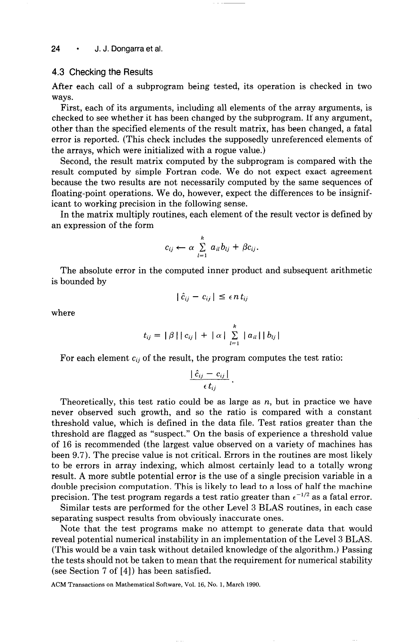#### 4.3 Checking the Results

After each call of a subprogram being tested, its operation is checked in two ways.

First, each of its arguments, including all elements of the array arguments, is checked to see whether it has been changed by the subprogram. If any argument, other than the specified elements of the result matrix, has been changed, a fatal error is reported. (This check includes the supposedly unreferenced elements of the arrays, which were initialized with a rogue value.)

Second, the result matrix computed by the subprogram is compared with the result computed by simple Fortran code. We do not expect exact agreement because the two results are not necessarily computed by the same sequences of floating-point operations. We do, however, expect the differences to be insignificant to working precision in the following sense.

In the matrix multiply routines, each element of the result vector is defined by an expression of the form

$$
c_{ij} \leftarrow \alpha \sum_{l=1}^k a_{il} b_{lj} + \beta c_{ij}.
$$

The absolute error in the computed inner product and subsequent arithmetic is bounded by

$$
|\hat{c}_{ij} - c_{ij}| \leq \epsilon n t_{ij}
$$

where

$$
t_{ij} = |\beta| |c_{ij}| + |\alpha| \sum_{l=1}^{k} |a_{il}| |b_{lj}|
$$

For each element  $c_{ij}$  of the result, the program computes the test ratio:

$$
\frac{|\,\hat{c}_{ij}-c_{ij}\,|}{\epsilon\,t_{ij}}\,.
$$

Theoretically, this test ratio could be as large as  $n$ , but in practice we have never observed such growth, and so the ratio is compared with a constant threshold value, which is defined in the data file. Test ratios greater than the threshold are flagged as "suspect." On the basis of experience a threshold value of 16 is recommended (the largest value observed on a variety of machines has been 9.7). The precise value is not critical. Errors in the routines are most likely to be errors in array indexing, which almost certainly lead to a totally wrong result. A more subtle potential error is the use of a single precision variable in a double precision computation. This is likely to lead to a loss of half the machine precision. The test program regards a test ratio greater than  $\epsilon^{-1/2}$  as a fatal error.

Similar tests are performed for the other Level 3 BLAS routines, in each case separating suspect results from obviously inaccurate ones.

Note that the test programs make no attempt to generate data that would reveal potential numerical instability in an implementation of the Level 3 BLAS. (This would be a vain task without detailed knowledge of the algorithm.) Passing the tests should not be taken to mean that the requirement for numerical stability (see Section 7 of [4]) has been satisfied.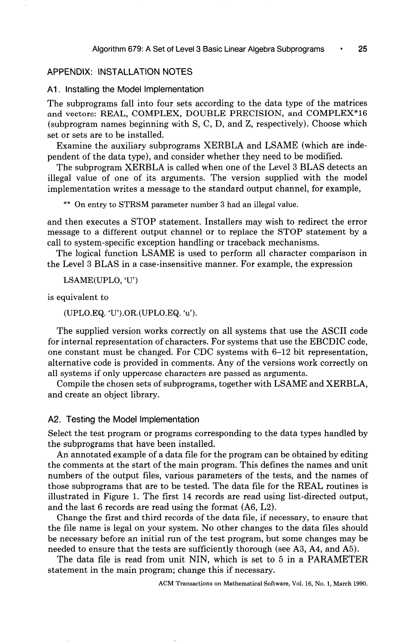## APPENDIX: INSTALLATION NOTES

#### Al. Installing the Model Implementation

The subprograms fall into four sets according to the data type of the matrices and vectors: REAL, COMPLEX, DOUBLE PRECISION, and COMPLEX\*16 (subprogram names beginning with S, C, D, and Z, respectively). Choose which set or sets are to be installed.

Examine the auxiliary subprograms XERBLA and LSAME (which are independent of the data type), and consider whether they need to be modified.

The subprogram XERBLA is called when one of the Level 3 BLAS detects an illegal value of one of its arguments. The version supplied with the model implementation writes a message to the standard output channel, for example,

\*\* On entry to STRSM parameter number 3 had an illegal value.

and then executes a STOP statement. Installers may wish to redirect the error message to a different output channel or to replace the STOP statement by a call to system-specific exception handling or traceback mechanisms.

The logical function LSAME is used to perform all character comparison in the Level 3 BLAS in a case-insensitive manner. For example, the expression

LSAME(UPL0, 'U')

is equivalent to

```
(UPLO.EQ. 'U').OR.(UPLO.EQ. 'u').
```
The supplied version works correctly on all systems that use the ASCII code for internal representation of characters. For systems that use the EBCDIC code, one constant must be changed. For CDC systems with 6-12 bit representation, alternative code is provided in comments. Any of the versions work correctly on all systems if only uppercase characters are passed as arguments.

Compile the chosen sets of subprograms, together with LSAME and XERBLA, and create an object library.

#### A2. Testing the Model Implementation

Select the test program or programs corresponding to the data types handled by the subprograms that have been installed.

An annotated example of a data file for the program can be obtained by editing the comments at the start of the main program. This defines the names and unit numbers of the output files, various parameters of the tests, and the names of those subprograms that are to be tested. The data file for the REAL routines is illustrated in Figure 1. The first 14 records are read using list-directed output, and the last 6 records are read using the format (A6, L2).

Change the first and third records of the data file, if necessary, to ensure that the file name is legal on your system. No other changes to the data files should be necessary before an initial run of the test program, but some changes may be needed to ensure that the tests are sufficiently thorough (see A3, A4, and A5).

The data file is read from unit NIN, which is set to 5 in a PARAMETER statement in the main program; change this if necessary.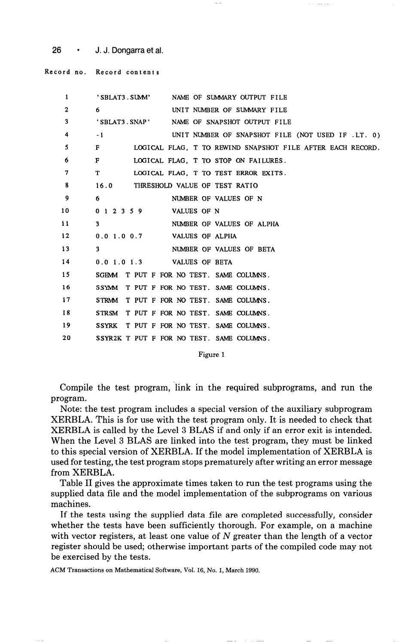26 · J. J. Dongarra et al.

Record no. Record contents

| $\mathbf{1}$ | 'SBLAT3. SUMM' NAME OF SUMMARY OUTPUT FILE                                 |
|--------------|----------------------------------------------------------------------------|
| $\mathbf{2}$ | UNIT NUMBER OF SUMMARY FILE<br>6.                                          |
| 3            | 'SBLAT3.SNAP' NAME OF SNAPSHOT OUTPUT FILE                                 |
| 4            | $-1$<br>UNIT NUMBER OF SNAPSHOT FILE (NOT USED IF .LT. 0)                  |
| 5            | $\mathbf{F}$<br>LOGICAL FLAG, T TO REWIND SNAPSHOT FILE AFTER EACH RECORD. |
| 6            | $\mathbf{F}$<br>LOGICAL FLAG. T TO STOP ON FAILURES.                       |
| 7            | T <sub>1</sub><br>LOGICAL FLAG. T TO TEST ERROR EXITS.                     |
| 8            | 16.0 THRESHOLD VALUE OF TEST RATIO                                         |
| 9            | 6.<br>NUMBER OF VALUES OF N                                                |
| 10           | 0 1 2 3 5 9 VALUES OF N                                                    |
| 11           | 3<br>NUMBER OF VALUES OF ALPHA                                             |
| 12           | 0.0 1.0 0.7 VALUES OF ALPHA                                                |
| 13           | 3<br>NUMBER OF VALUES OF BETA                                              |
| 14           | 0.0 1.0 1.3 VALUES OF BETA                                                 |
| 15           | SGEMM T PUT F FOR NO TEST. SAME COLUMNS.                                   |
| 16           | SSYMM T PUT F FOR NO TEST. SAME COLUMNS.                                   |
| 17           | STRMM T PUT F FOR NO TEST. SAME COLUMNS.                                   |
| 18           | STRSM T PUT F FOR NO TEST. SAME COLUMNS.                                   |
| 19           | SSYRK T PUT F FOR NO TEST. SAME COLUMNS.                                   |
| 20           | SSYR2K T PUT F FOR NO TEST. SAME COLUMNS.                                  |
|              |                                                                            |

Figure 1

Compile the test program, link in the required subprograms, and run the program.

Note: the test program includes a special version of the auxiliary subprogram XERBLA. This is for use with the test program only. It is needed to check that XERBLA is called by the Level 3 BLAS if and only if an error exit is intended. When the Level 3 BLAS are linked into the test program, they must be linked to this special version of XERBLA. If the model implementation of XERBLA is used for testing, the test program stops prematurely after writing an error message from XERBLA.

Table II gives the approximate times taken to run the test programs using the supplied data file and the model implementation of the subprograms on various machines.

If the tests using the supplied data file are completed successfully, consider whether the tests have been sufficiently thorough. For example, on a machine with vector registers, at least one value of  $N$  greater than the length of a vector register should be used; otherwise important parts of the compiled code may not be exercised by the tests.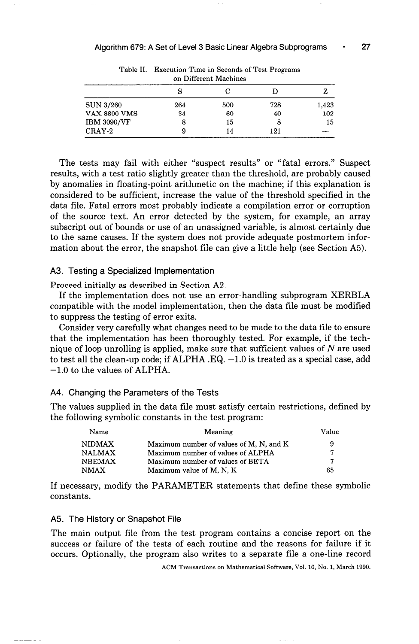| on Different Machines |     |     |     |       |  |  |  |
|-----------------------|-----|-----|-----|-------|--|--|--|
|                       | S   |     |     |       |  |  |  |
| <b>SUN 3/260</b>      | 264 | 500 | 728 | 1.423 |  |  |  |
| <b>VAX 8800 VMS</b>   | 34  | 60  | 40  | 102   |  |  |  |
| <b>IBM 3090/VF</b>    |     | 15  | 8   | 15    |  |  |  |
| CRAY-2                | 9   | 14  | 121 |       |  |  |  |

Table II. Execution Time in Seconds of Test Programs

The tests may fail with either "suspect results" or "fatal errors." Suspect results, with a test ratio slightly greater than the threshold, are probably caused by anomalies in floating-point arithmetic on the machine; if this explanation is considered to be sufficient, increase the value of the threshold specified in the data file. Fatal errors most probably indicate a compilation error or corruption of the source text. An error detected by the system, for example, an array subscript out of bounds or use of an unassigned variable, is almost certainly due to the same causes. If the system does not provide adequate postmortem information about the error, the snapshot file can give a little help (see Section A5).

#### A3. Testing a Specialized Implementation

Proceed initially as described in Section A2.

If the implementation does not use an error-handling subprogram XERBLA compatible with the model implementation, then the data file must be modified to suppress the testing of error exits.

Consider very carefully what changes need to be made to the data file to ensure that the implementation has been thoroughly tested. For example, if the technique of loop unrolling is applied, make sure that sufficient values of  $N$  are used to test all the clean-up code; if ALPHA .EQ.  $-1.0$  is treated as a special case, add -1.0 to the values of ALPHA.

#### A4. Changing the Parameters of the Tests

The values supplied in the data file must satisfy certain restrictions, defined by the following symbolic constants in the test program:

| Name          | Meaning                                 | Value |
|---------------|-----------------------------------------|-------|
| <b>NIDMAX</b> | Maximum number of values of M, N, and K | 9     |
| NALMAX        | Maximum number of values of ALPHA       | 7     |
| <b>NBEMAX</b> | Maximum number of values of BETA        | 7     |
| <b>NMAX</b>   | Maximum value of M, N, K                | 65    |

If necessary, modify the PARAMETER statements that define these symbolic constants.

#### A5. The History or Snapshot File

The main output file from the test program contains a concise report on the success or failure of the tests of each routine and the reasons for failure if it occurs. Optionally, the program also writes to a separate file a one-line record